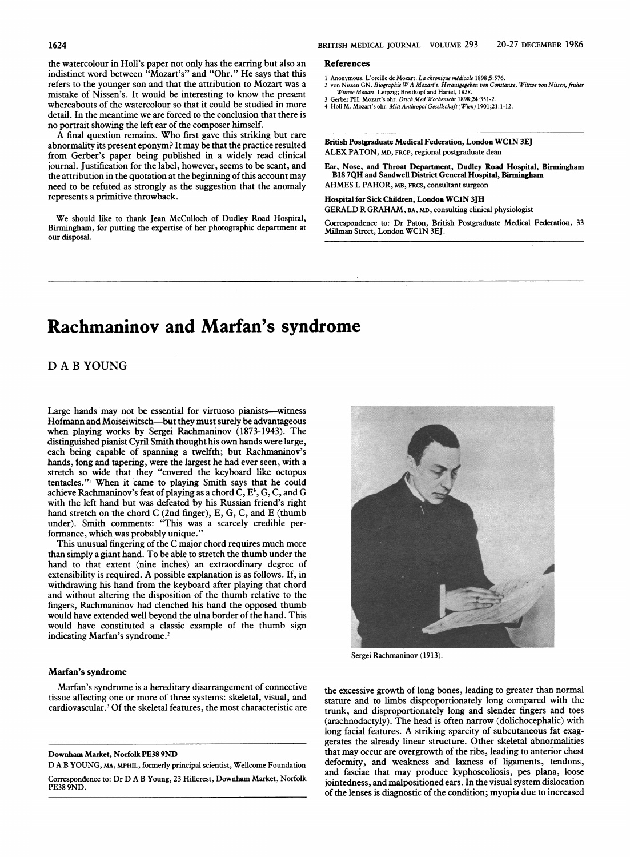the watercolour in Holl's paper not only has the earring but also an indistinct word between "Mozart's" and "Ohr." He says that this refers to the younger son and that the attribution to Mozart was a mistake of Nissen's. It would be interesting to know the present whereabouts of the watercolour so that it could be studied in more detail. In the meantime we are forced to the conclusion that there is no portrait showing the left ear of the composer himself.

A final question remains. Who first gave this striking but rare abnormality its present eponym? It may be that the practice resulted from Gerber's paper being published in a widely read clinical journal. Justification for the label, however, seems to be scant, and the attribution in the quotation at the beginning of this account may need to be refuted as strongly as the suggestion that the anomaly represents a primitive throwback.

We should like to thank Jean McCulloch of Dudley Road Hospital, Birmingham, for putting the expertise of her photographic department at our disposal.

#### References

- 1 Anonymous. L'oreille de Mozart. La chronique médicale 1898;5:576.
- 2 von Nissen GN. Biographie W A Mozart's. Herausgegeben von Constanze, Wittwe von Nissen, früher Wittwe Mozart. Leipzig; Breitkopf and Hartel, 1828.
- Gerber PH. Mozart's ohr. Disch Med Wochenschr 1898;24:351-2. 4 Holl M. Mozart's ohr. MittAnthropol Gesellschaft (Wien) 1901;21:1-12.

British Postgraduate Medical Federation, London WC1N 3EJ ALEX PATON, MD, FRcp, regional postgraduate dean

Ear, Nose, and Throat Department, Dudley Road Hospital, Birmingham B18 7QH and Sandwell District General Hospital, Birmingham AHMES L PAHOR, MB, FRCS, consultant surgeon

Hospital for Sick Children, London WC1N 3JH

GERALD R GRAHAM, BA, mD, consulting clinical physiologist

Correspondence to: Dr Paton, British Postgraduate Medical Federation, 33 Milman Street, London WCIN 3EJ.

## Rachmaninov and Marfan's syndrome

D A B YOUNG

Large hands may not be essential for virtuoso pianists-witness Hofmann and Moiseiwitsch-but they must surely be advantageous when playing works by Sergei Rachmaninov (1873-1943). The distimguished pianist Cyril Smith thought his own hands were large, each being capable of spanning a twelfth; but Rachmaninov's hands, long and tapering, were the largest he had ever seen, with a stretch so wide that they "covered the keyboard like octopus tentacles."' When it came to playing Smith says that he could achieve Rachmaninov's feat of playing as a chord  $\dot{C}$ ,  $E^{\dagger}$ , G, C, and G with the left hand but was defeated by his Russian friend's right hand stretch on the chord C (2nd finger), E, G, C, and E (thumb under). Smith comments: "This was a scarcely credible performance, which was probably unique.'

This unusual fingering of the C major chord requires much more than simply a giant hand. To be able to stretch the thumb under the hand to that extent (nine inches) an extraordinary degree of extensibility is required. A possible explanation is as follows. If, in withdrawing his hand from the keyboard after playing that chord and without altering the disposition of the thumb relative to the fingers, Rachmaninov had clenched his hand the opposed thumb would have extended well beyond the ulna border of the hand. This would have constituted a classic example of the thumb sign indicating Marfan's syndrome.<sup>2</sup>

### Marfan's syndrome

Marfan's syndrome is a hereditary disarrangement of connective tissue affecting one or more of three systems: skeletal, visual, and cardiovascular.<sup>3</sup> Of the skeletal features, the most characteristic are

#### Downham Market, Norfolk PE38 9ND

D A B YOUNG, MA, MPHIL, formerly principal scientist, Wellcome Foundation Correspondence to: Dr D A B Young, <sup>23</sup> Hillcrest, Downham Market, Norfolk PE38 9ND.



Sergei Rachmaninov (1913).

the excessive growth of long bones, leading to greater than normal stature and to limbs disproportionately long compared with the trunk, and disproportionately long and slender fingers and toes (arachnodactyly). The head is often narrow (dolichocephalic) with long facial features. A striking sparcity of subcutaneous fat exaggerates the already linear structure. Other skeletal abnormalities that may occur are overgrowth of the ribs, leading to anterior chest deformity, and weakness and laxness of ligaments, tendons, and fasciae that may produce kyphoscoliosis, pes plana, loose jointedness, and malpositioned ears. In the visual system dislocation of the lenses is diagnostic of the condition; myopia due to increased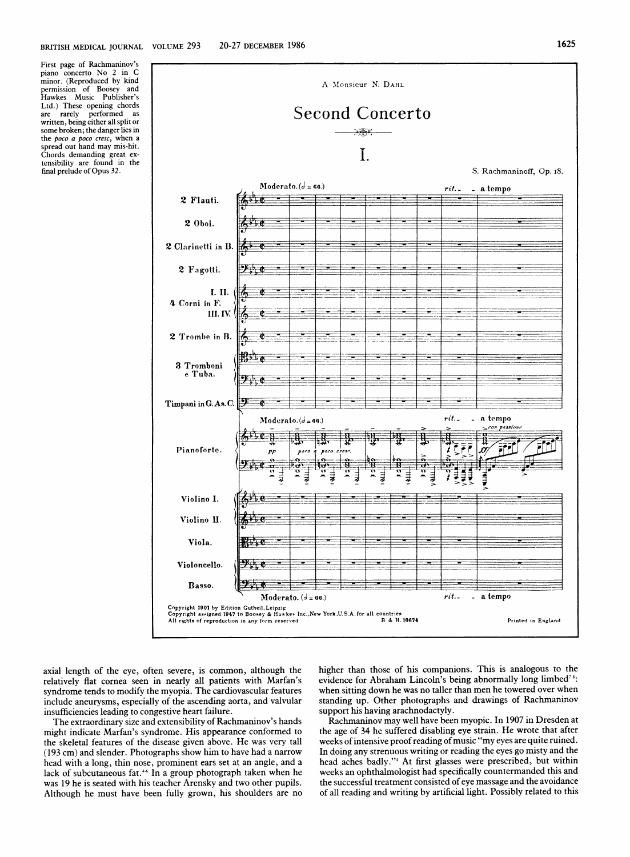First page of Rachmaninov's piano concerto No <sup>2</sup> in C minor. (Reproduced by kind<br>permission of Boosev and permission of Boosey Hawkes Music Publisher's Ltd.) These opening chords<br>are rarely performed as performed as written, being either all split or some broken; the danger lies in the *poco a poco cresc*, when a spread out hand may mis-hit. Chords demanding great extensibility are found in the final prelude of Opus 32.



axial length of the eye, often severe, is common, although the relatively flat cornea seen in nearly all patients with Marfan's syndrome tends to modify the myopia. The cardiovascular features include aneurysms, especially of the ascending aorta, and valvular insufficiencies leading to congestive heart failure.

The extraordinary size and extensibility of Rachmaninov's hands might indicate Marfan's syndrome. His appearance conformed to the skeletal features of the disease given above. He was very tall (193 cm) and slender. Photographs show him to have had a narrow head with <sup>a</sup> long, thin nose, prominent ears set at an angle, and a lack of subcutaneous fat.<sup>46</sup> In a group photograph taken when he was 19 he is seated with his teacher Arensky and two other pupils. Although he must have been fully grown, his shoulders are no higher than those of his companions. This is analogous to the evidence for Abraham Lincoln's being abnormally long limbed<sup>78</sup>: when sitting down he was no taller than men he towered over when standing up. Other photographs and drawings of Rachmaninov support his having arachnodactyly.

Rachmaninov may well have been myopic. In 1907 in Dresden at the age of 34 he suffered disabling eye strain. He wrote that after weeks of intensive proof reading of music "my eyes are quite ruined. In doing any strenuous writing or reading the eyes go misty and the head aches badly."4 At first glasses were prescribed, but within weeks an ophthalmologist had specifically countermanded this and the successful treatment consisted of eye massage and the avoidance of all reading and writing by artificial light. Possibly related to this